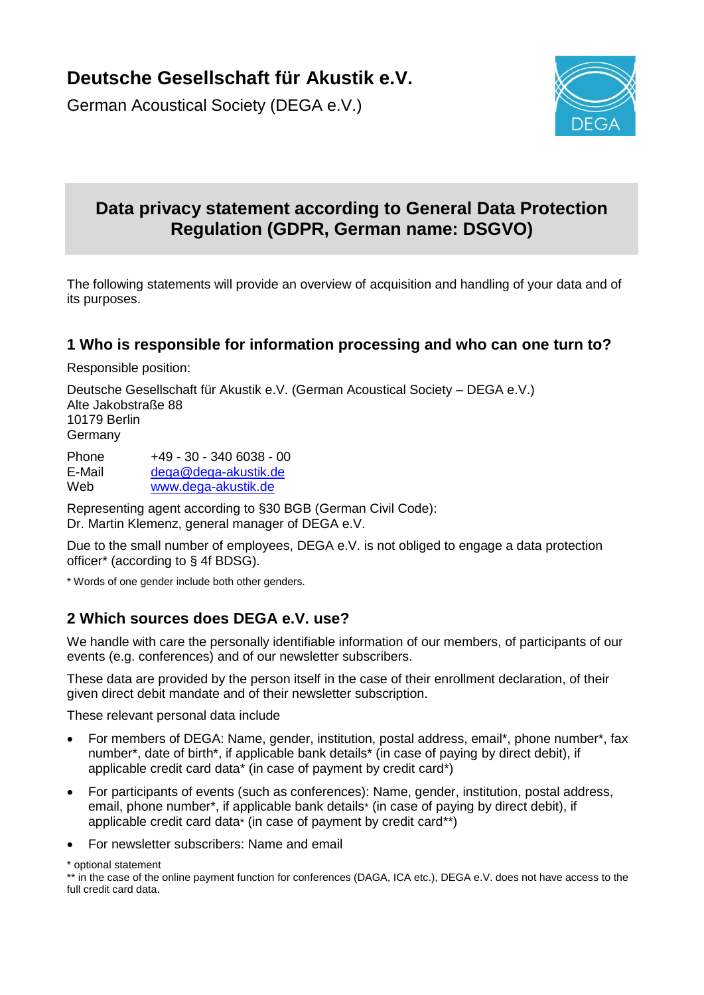# **Deutsche Gesellschaft für Akustik e.V.**

German Acoustical Society (DEGA e.V.)



# **Data privacy statement according to General Data Protection Regulation (GDPR, German name: DSGVO)**

The following statements will provide an overview of acquisition and handling of your data and of its purposes.

## **1 Who is responsible for information processing and who can one turn to?**

Responsible position:

Deutsche Gesellschaft für Akustik e.V. (German Acoustical Society – DEGA e.V.) Alte Jakobstraße 88 10179 Berlin Germany

Phone +49 - 30 - 340 6038 - 00 E-Mail [dega@dega-akustik.de](mailto:dega@dega-akustik.de)<br>Web www.dega-akustik.de [www.dega-akustik.de](http://www.dega-akustik.de/)

Representing agent according to §30 BGB (German Civil Code): Dr. Martin Klemenz, general manager of DEGA e.V.

Due to the small number of employees, DEGA e.V. is not obliged to engage a data protection officer\* (according to § 4f BDSG).

\* Words of one gender include both other genders.

# **2 Which sources does DEGA e.V. use?**

We handle with care the personally identifiable information of our members, of participants of our events (e.g. conferences) and of our newsletter subscribers.

These data are provided by the person itself in the case of their enrollment declaration, of their given direct debit mandate and of their newsletter subscription.

These relevant personal data include

- For members of DEGA: Name, gender, institution, postal address, email\*, phone number\*, fax number\*, date of birth\*, if applicable bank details\* (in case of paying by direct debit), if applicable credit card data\* (in case of payment by credit card\*)
- For participants of events (such as conferences): Name, gender, institution, postal address, email, phone number\*, if applicable bank details\* (in case of paying by direct debit), if applicable credit card data\* (in case of payment by credit card\*\*)
- For newsletter subscribers: Name and email

\* optional statement

<sup>\*\*</sup> in the case of the online payment function for conferences (DAGA, ICA etc.), DEGA e.V. does not have access to the full credit card data.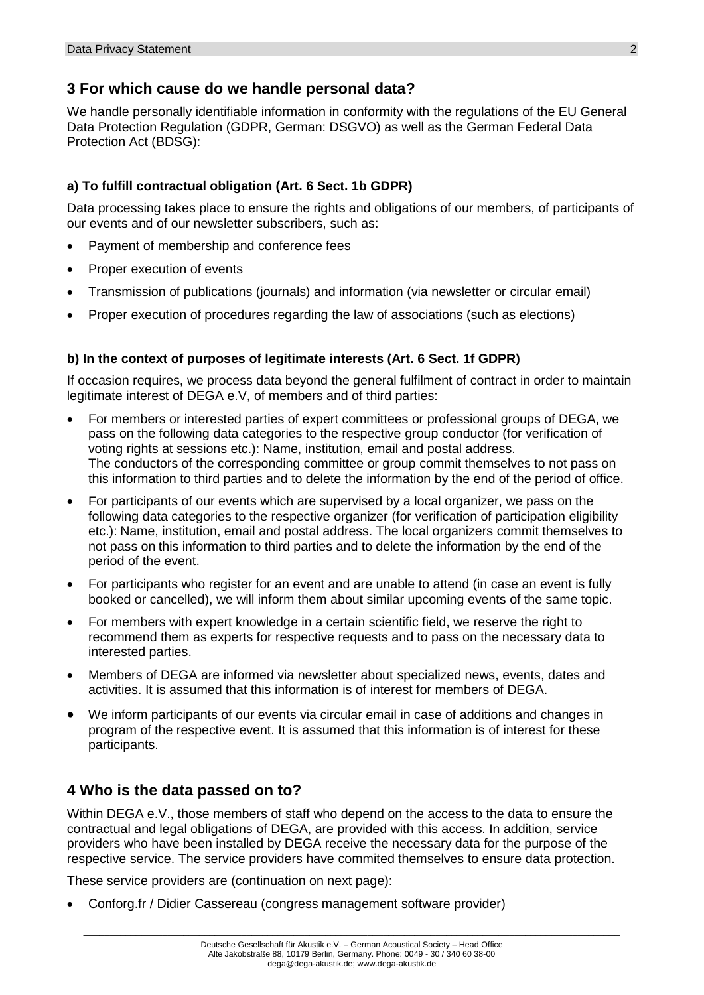## **3 For which cause do we handle personal data?**

We handle personally identifiable information in conformity with the regulations of the EU General Data Protection Regulation (GDPR, German: DSGVO) as well as the German Federal Data Protection Act (BDSG):

#### **a) To fulfill contractual obligation (Art. 6 Sect. 1b GDPR)**

Data processing takes place to ensure the rights and obligations of our members, of participants of our events and of our newsletter subscribers, such as:

- Payment of membership and conference fees
- Proper execution of events
- Transmission of publications (journals) and information (via newsletter or circular email)
- Proper execution of procedures regarding the law of associations (such as elections)

#### **b) In the context of purposes of legitimate interests (Art. 6 Sect. 1f GDPR)**

If occasion requires, we process data beyond the general fulfilment of contract in order to maintain legitimate interest of DEGA e.V, of members and of third parties:

- For members or interested parties of expert committees or professional groups of DEGA, we pass on the following data categories to the respective group conductor (for verification of voting rights at sessions etc.): Name, institution, email and postal address. The conductors of the corresponding committee or group commit themselves to not pass on this information to third parties and to delete the information by the end of the period of office.
- For participants of our events which are supervised by a local organizer, we pass on the following data categories to the respective organizer (for verification of participation eligibility etc.): Name, institution, email and postal address. The local organizers commit themselves to not pass on this information to third parties and to delete the information by the end of the period of the event.
- For participants who register for an event and are unable to attend (in case an event is fully booked or cancelled), we will inform them about similar upcoming events of the same topic.
- For members with expert knowledge in a certain scientific field, we reserve the right to recommend them as experts for respective requests and to pass on the necessary data to interested parties.
- Members of DEGA are informed via newsletter about specialized news, events, dates and activities. It is assumed that this information is of interest for members of DEGA.
- We inform participants of our events via circular email in case of additions and changes in program of the respective event. It is assumed that this information is of interest for these participants.

# **4 Who is the data passed on to?**

Within DEGA e.V., those members of staff who depend on the access to the data to ensure the contractual and legal obligations of DEGA, are provided with this access. In addition, service providers who have been installed by DEGA receive the necessary data for the purpose of the respective service. The service providers have commited themselves to ensure data protection.

These service providers are (continuation on next page):

Conforg.fr / Didier Cassereau (congress management software provider)

\_\_\_\_\_\_\_\_\_\_\_\_\_\_\_\_\_\_\_\_\_\_\_\_\_\_\_\_\_\_\_\_\_\_\_\_\_\_\_\_\_\_\_\_\_\_\_\_\_\_\_\_\_\_\_\_\_\_\_\_\_\_\_\_\_\_\_\_\_\_\_\_\_\_\_\_\_\_\_\_\_\_\_\_\_\_\_\_\_\_\_\_\_\_\_\_\_\_\_\_\_\_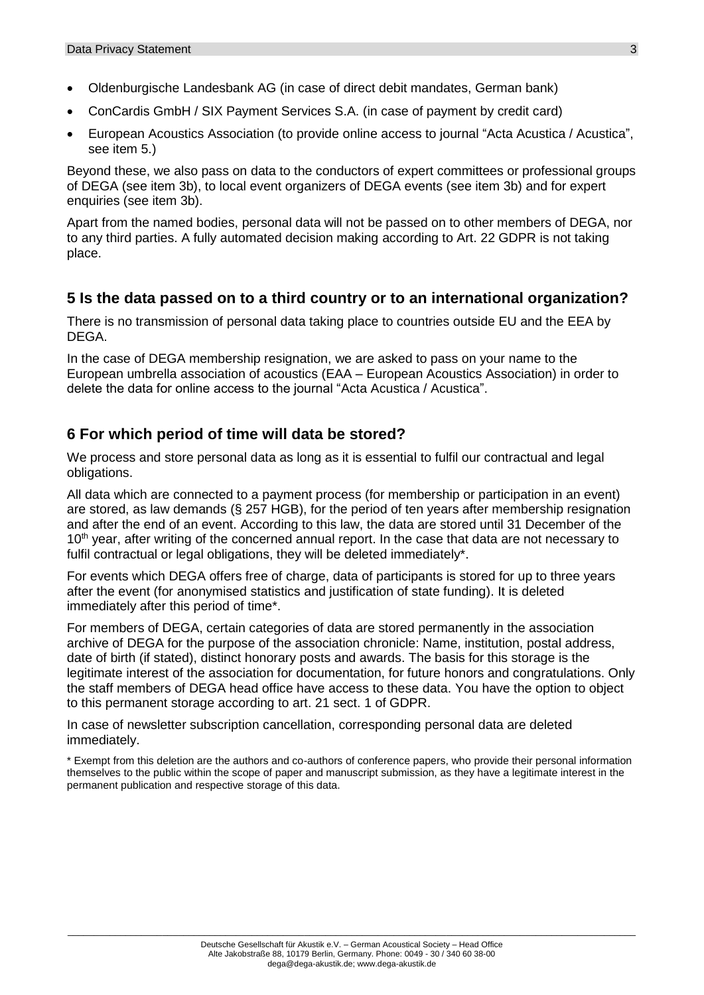- Oldenburgische Landesbank AG (in case of direct debit mandates, German bank)
- ConCardis GmbH / SIX Payment Services S.A. (in case of payment by credit card)
- European Acoustics Association (to provide online access to journal "Acta Acustica / Acustica", see item 5.)

Beyond these, we also pass on data to the conductors of expert committees or professional groups of DEGA (see item 3b), to local event organizers of DEGA events (see item 3b) and for expert enquiries (see item 3b).

Apart from the named bodies, personal data will not be passed on to other members of DEGA, nor to any third parties. A fully automated decision making according to Art. 22 GDPR is not taking place.

## **5 Is the data passed on to a third country or to an international organization?**

There is no transmission of personal data taking place to countries outside EU and the EEA by DEGA.

In the case of DEGA membership resignation, we are asked to pass on your name to the European umbrella association of acoustics (EAA – European Acoustics Association) in order to delete the data for online access to the journal "Acta Acustica / Acustica".

## **6 For which period of time will data be stored?**

We process and store personal data as long as it is essential to fulfil our contractual and legal obligations.

All data which are connected to a payment process (for membership or participation in an event) are stored, as law demands (§ 257 HGB), for the period of ten years after membership resignation and after the end of an event. According to this law, the data are stored until 31 December of the 10<sup>th</sup> year, after writing of the concerned annual report. In the case that data are not necessary to fulfil contractual or legal obligations, they will be deleted immediately\*.

For events which DEGA offers free of charge, data of participants is stored for up to three years after the event (for anonymised statistics and justification of state funding). It is deleted immediately after this period of time\*.

For members of DEGA, certain categories of data are stored permanently in the association archive of DEGA for the purpose of the association chronicle: Name, institution, postal address, date of birth (if stated), distinct honorary posts and awards. The basis for this storage is the legitimate interest of the association for documentation, for future honors and congratulations. Only the staff members of DEGA head office have access to these data. You have the option to object to this permanent storage according to art. 21 sect. 1 of GDPR.

In case of newsletter subscription cancellation, corresponding personal data are deleted immediately.

\* Exempt from this deletion are the authors and co-authors of conference papers, who provide their personal information themselves to the public within the scope of paper and manuscript submission, as they have a legitimate interest in the permanent publication and respective storage of this data.